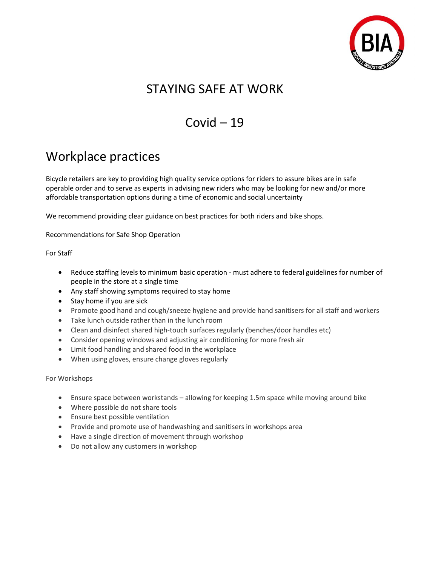

# STAYING SAFE AT WORK

# $Covid - 19$

# Workplace practices

Bicycle retailers are key to providing high quality service options for riders to assure bikes are in safe operable order and to serve as experts in advising new riders who may be looking for new and/or more affordable transportation options during a time of economic and social uncertainty

We recommend providing clear guidance on best practices for both riders and bike shops.

Recommendations for Safe Shop Operation

For Staff

- Reduce staffing levels to minimum basic operation must adhere to federal guidelines for number of people in the store at a single time
- Any staff showing symptoms required to stay home
- Stay home if you are sick
- Promote good hand and cough/sneeze hygiene and provide hand sanitisers for all staff and workers
- Take lunch outside rather than in the lunch room
- Clean and disinfect shared high-touch surfaces regularly (benches/door handles etc)
- Consider opening windows and adjusting air conditioning for more fresh air
- Limit food handling and shared food in the workplace
- When using gloves, ensure change gloves regularly

For Workshops

- Ensure space between workstands allowing for keeping 1.5m space while moving around bike
- Where possible do not share tools
- Ensure best possible ventilation
- Provide and promote use of handwashing and sanitisers in workshops area
- Have a single direction of movement through workshop
- Do not allow any customers in workshop